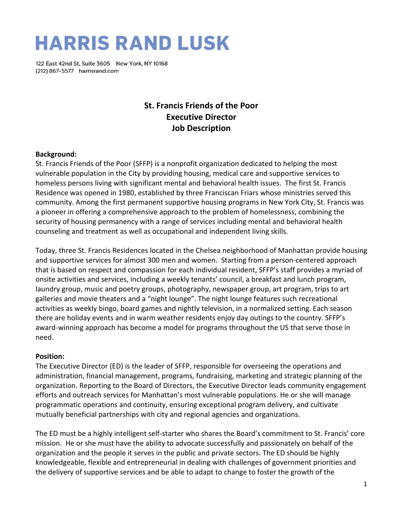# **HARRIS RAND LUSK**

122 East 42nd St, Suite 3605 New York, NY 10168 (212) 867-5577 harrisrand.com

# **St. Francis Friends of the Poor Executive Director Job Description**

#### **Background:**

St. Francis Friends of the Poor (SFFP) is a nonprofit organization dedicated to helping the most vulnerable population in the City by providing housing, medical care and supportive services to homeless persons living with significant mental and behavioral health issues. The first St. Francis Residence was opened in 1980, established by three Franciscan Friars whose ministries served this community. Among the first permanent supportive housing programs in New York City, St. Francis was a pioneer in offering a comprehensive approach to the problem of homelessness, combining the security of housing permanency with a range of services including mental and behavioral health counseling and treatment as well as occupational and independent living skills.

Today, three St. Francis Residences located in the Chelsea neighborhood of Manhattan provide housing and supportive services for almost 300 men and women. Starting from a person-centered approach that is based on respect and compassion for each individual resident, SFFP's staff provides a myriad of onsite activities and services, including a weekly tenants' council, a breakfast and lunch program, laundry group, music and poetry groups, photography, newspaper group, art program, trips to art galleries and movie theaters and a "night lounge". The night lounge features such recreational activities as weekly bingo, board games and nightly television, in a normalized setting. Each season there are holiday events and in warm weather residents enjoy day outings to the country. SFFP's award-winning approach has become a model for programs throughout the US that serve those in need.

#### **Position:**

The Executive Director (ED) is the leader of SFFP, responsible for overseeing the operations and administration, financial management, programs, fundraising, marketing and strategic planning of the organization. Reporting to the Board of Directors, the Executive Director leads community engagement efforts and outreach services for Manhattan's most vulnerable populations. He or she will manage programmatic operations and continuity, ensuring exceptional program delivery, and cultivate mutually beneficial partnerships with city and regional agencies and organizations.

The ED must be a highly intelligent self-starter who shares the Board's commitment to St. Francis' core mission. He or she must have the ability to advocate successfully and passionately on behalf of the organization and the people it serves in the public and private sectors. The ED should be highly knowledgeable, flexible and entrepreneurial in dealing with challenges of government priorities and the delivery of supportive services and be able to adapt to change to foster the growth of the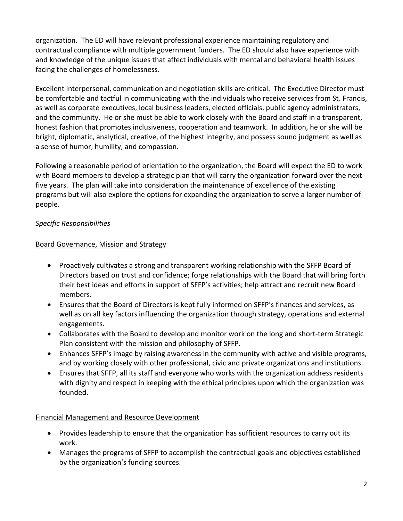organization. The ED will have relevant professional experience maintaining regulatory and contractual compliance with multiple government funders. The ED should also have experience with and knowledge of the unique issues that affect individuals with mental and behavioral health issues facing the challenges of homelessness.

Excellent interpersonal, communication and negotiation skills are critical. The Executive Director must be comfortable and tactful in communicating with the individuals who receive services from St. Francis, as well as corporate executives, local business leaders, elected officials, public agency administrators, and the community. He or she must be able to work closely with the Board and staff in a transparent, honest fashion that promotes inclusiveness, cooperation and teamwork. In addition, he or she will be bright, diplomatic, analytical, creative, of the highest integrity, and possess sound judgment as well as a sense of humor, humility, and compassion.

Following a reasonable period of orientation to the organization, the Board will expect the ED to work with Board members to develop a strategic plan that will carry the organization forward over the next five years. The plan will take into consideration the maintenance of excellence of the existing programs but will also explore the options for expanding the organization to serve a larger number of people.

### *Specific Responsibilities*

#### Board Governance, Mission and Strategy

- Proactively cultivates a strong and transparent working relationship with the SFFP Board of Directors based on trust and confidence; forge relationships with the Board that will bring forth their best ideas and efforts in support of SFFP's activities; help attract and recruit new Board members.
- Ensures that the Board of Directors is kept fully informed on SFFP's finances and services, as well as on all key factors influencing the organization through strategy, operations and external engagements.
- Collaborates with the Board to develop and monitor work on the long and short-term Strategic Plan consistent with the mission and philosophy of SFFP.
- Enhances SFFP's image by raising awareness in the community with active and visible programs, and by working closely with other professional, civic and private organizations and institutions.
- Ensures that SFFP, all its staff and everyone who works with the organization address residents with dignity and respect in keeping with the ethical principles upon which the organization was founded.

#### Financial Management and Resource Development

- Provides leadership to ensure that the organization has sufficient resources to carry out its work.
- Manages the programs of SFFP to accomplish the contractual goals and objectives established by the organization's funding sources.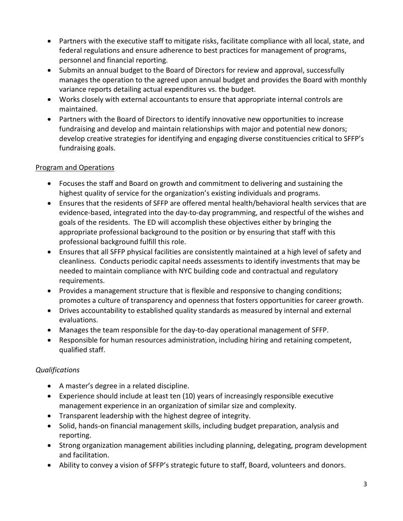- Partners with the executive staff to mitigate risks, facilitate compliance with all local, state, and federal regulations and ensure adherence to best practices for management of programs, personnel and financial reporting.
- Submits an annual budget to the Board of Directors for review and approval, successfully manages the operation to the agreed upon annual budget and provides the Board with monthly variance reports detailing actual expenditures vs. the budget.
- Works closely with external accountants to ensure that appropriate internal controls are maintained.
- Partners with the Board of Directors to identify innovative new opportunities to increase fundraising and develop and maintain relationships with major and potential new donors; develop creative strategies for identifying and engaging diverse constituencies critical to SFFP's fundraising goals.

### Program and Operations

- Focuses the staff and Board on growth and commitment to delivering and sustaining the highest quality of service for the organization's existing individuals and programs.
- Ensures that the residents of SFFP are offered mental health/behavioral health services that are evidence-based, integrated into the day-to-day programming, and respectful of the wishes and goals of the residents. The ED will accomplish these objectives either by bringing the appropriate professional background to the position or by ensuring that staff with this professional background fulfill this role.
- Ensures that all SFFP physical facilities are consistently maintained at a high level of safety and cleanliness. Conducts periodic capital needs assessments to identify investments that may be needed to maintain compliance with NYC building code and contractual and regulatory requirements.
- Provides a management structure that is flexible and responsive to changing conditions; promotes a culture of transparency and openness that fosters opportunities for career growth.
- Drives accountability to established quality standards as measured by internal and external evaluations.
- Manages the team responsible for the day-to-day operational management of SFFP.
- Responsible for human resources administration, including hiring and retaining competent, qualified staff.

## *Qualifications*

- A master's degree in a related discipline.
- Experience should include at least ten (10) years of increasingly responsible executive management experience in an organization of similar size and complexity.
- Transparent leadership with the highest degree of integrity.
- Solid, hands-on financial management skills, including budget preparation, analysis and reporting.
- Strong organization management abilities including planning, delegating, program development and facilitation.
- Ability to convey a vision of SFFP's strategic future to staff, Board, volunteers and donors.